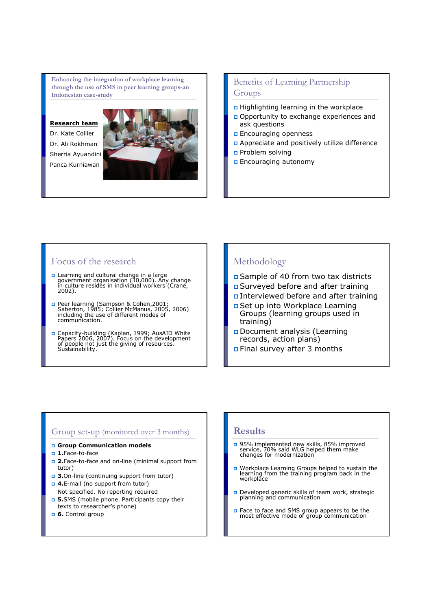Enhancing the integration of workplace learning through the use of SMS in peer learning groups-an Indonesian case-study

### Research team

Dr. Kate Collier Dr. Ali Rokhman Sherria Ayuandini Panca Kurniawan



## Benefits of Learning Partnership Groups

- Highlighting learning in the workplace
- Opportunity to exchange experiences and ask questions
- **Encouraging openness**
- Appreciate and positively utilize difference
- Problem solving
- Encouraging autonomy

## Focus of the research

- n Learning and cultural change in a large<br>government organisation (30,000). Any change<br>in culture resides in individual workers (Crane,<br>2002).
- n Peer learning (Sampson & Cohen,2001;<br>Saberton, 1985; Collier McManus, 2005, 2006)<br>including the use of different modes of communication.
- n Capacity-building (Kaplan, 1999; AusAID White<br>Papers 2006, 2007). Focus on the development<br>of people not just the giving of resources.<br>Sustainability.

### Methodology

- Sample of 40 from two tax districts
- Surveyed before and after training
- Interviewed before and after training
- Set up into Workplace Learning Groups (learning groups used in training)
- Document analysis (Learning records, action plans)
- Final survey after 3 months

### Group set-up (monitored over 3 months)

- Group Communication models
- **n** 1.Face-to-face
- **2.**Face-to-face and on-line (minimal support from tutor)
- **3.**On-line (continuing support from tutor)
- **4.E-mail (no support from tutor)** Not specified. No reporting required
- 5.SMS (mobile phone. Participants copy their texts to researcher's phone)
- **6.** Control group

### **Results**

- 95% implemented new skills, 85% improved service, 70% said WLG helped them make changes for modernization
- Workplace Learning Groups helped to sustain the learning from the training program back in the workplace
- Developed generic skills of team work, strategic planning and communication
- Face to face and SMS group appears to be the most effective mode of group communication